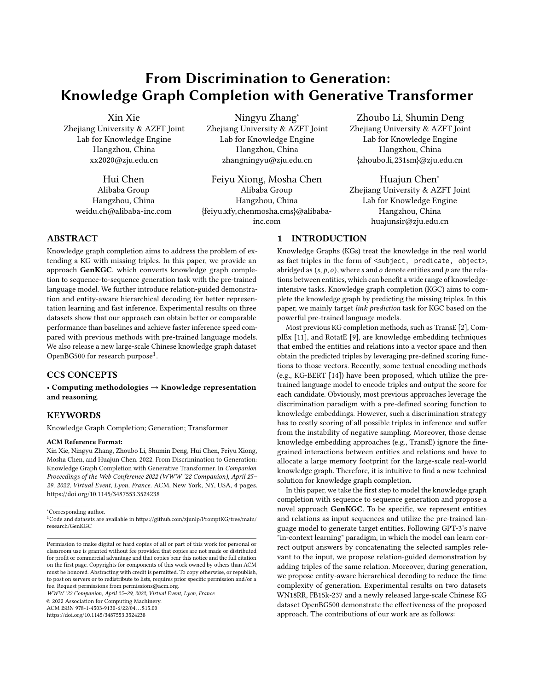# From Discrimination to Generation: Knowledge Graph Completion with Generative Transformer

Xin Xie Zhejiang University & AZFT Joint Lab for Knowledge Engine Hangzhou, China xx2020@zju.edu.cn

> Hui Chen Alibaba Group Hangzhou, China weidu.ch@alibaba-inc.com

Ningyu Zhang<sup>∗</sup> Zhejiang University & AZFT Joint Lab for Knowledge Engine Hangzhou, China zhangningyu@zju.edu.cn

Feiyu Xiong, Mosha Chen Alibaba Group Hangzhou, China {feiyu.xfy,chenmosha.cms}@alibabainc.com

Zhoubo Li, Shumin Deng Zhejiang University & AZFT Joint Lab for Knowledge Engine Hangzhou, China {zhoubo.li,231sm}@zju.edu.cn

Huajun Chen<sup>∗</sup> Zhejiang University & AZFT Joint Lab for Knowledge Engine Hangzhou, China huajunsir@zju.edu.cn

# ABSTRACT

Knowledge graph completion aims to address the problem of extending a KG with missing triples. In this paper, we provide an approach GenKGC, which converts knowledge graph completion to sequence-to-sequence generation task with the pre-trained language model. We further introduce relation-guided demonstration and entity-aware hierarchical decoding for better representation learning and fast inference. Experimental results on three datasets show that our approach can obtain better or comparable performance than baselines and achieve faster inference speed compared with previous methods with pre-trained language models. We also release a new large-scale Chinese knowledge graph dataset OpenBG500 for research purpose<sup>[1](#page-0-0)</sup>.

# CCS CONCEPTS

• Computing methodologies → Knowledge representation and reasoning.

# **KEYWORDS**

Knowledge Graph Completion; Generation; Transformer

#### ACM Reference Format:

Xin Xie, Ningyu Zhang, Zhoubo Li, Shumin Deng, Hui Chen, Feiyu Xiong, Mosha Chen, and Huajun Chen. 2022. From Discrimination to Generation: Knowledge Graph Completion with Generative Transformer. In Companion Proceedings of the Web Conference 2022 (WWW '22 Companion), April 25– 29, 2022, Virtual Event, Lyon, France. ACM, New York, NY, USA, [4](#page-3-0) pages. <https://doi.org/10.1145/3487553.3524238>

<span id="page-0-0"></span><sup>1</sup>Code and datasets are available in [https://github.com/zjunlp/PromptKG/tree/main/](https://github.com/zjunlp/PromptKG/tree/main/research/GenKGC) [research/GenKGC](https://github.com/zjunlp/PromptKG/tree/main/research/GenKGC)

WWW '22 Companion, April 25–29, 2022, Virtual Event, Lyon, France

© 2022 Association for Computing Machinery.

ACM ISBN 978-1-4503-9130-6/22/04. . . \$15.00

<https://doi.org/10.1145/3487553.3524238>

# 1 INTRODUCTION

Knowledge Graphs (KGs) treat the knowledge in the real world as fact triples in the form of <subject, predicate, object>, abridged as  $(s, p, o)$ , where s and o denote entities and p are the relations between entities, which can benefit a wide range of knowledgeintensive tasks. Knowledge graph completion (KGC) aims to complete the knowledge graph by predicting the missing triples. In this paper, we mainly target link prediction task for KGC based on the powerful pre-trained language models.

Most previous KG completion methods, such as TransE [\[2\]](#page-3-1), ComplEx [\[11\]](#page-3-2), and RotatE [\[9\]](#page-3-3), are knowledge embedding techniques that embed the entities and relations into a vector space and then obtain the predicted triples by leveraging pre-defined scoring functions to those vectors. Recently, some textual encoding methods (e.g., KG-BERT [\[14\]](#page-3-4)) have been proposed, which utilize the pretrained language model to encode triples and output the score for each candidate. Obviously, most previous approaches leverage the discrimination paradigm with a pre-defined scoring function to knowledge embeddings. However, such a discrimination strategy has to costly scoring of all possible triples in inference and suffer from the instability of negative sampling. Moreover, those dense knowledge embedding approaches (e.g., TransE) ignore the finegrained interactions between entities and relations and have to allocate a large memory footprint for the large-scale real-world knowledge graph. Therefore, it is intuitive to find a new technical solution for knowledge graph completion.

In this paper, we take the first step to model the knowledge graph completion with sequence to sequence generation and propose a novel approach GenKGC. To be specific, we represent entities and relations as input sequences and utilize the pre-trained language model to generate target entities. Following GPT-3's naive "in-context learning" paradigm, in which the model can learn correct output answers by concatenating the selected samples relevant to the input, we propose relation-guided demonstration by adding triples of the same relation. Moreover, during generation, we propose entity-aware hierarchical decoding to reduce the time complexity of generation. Experimental results on two datasets WN18RR, FB15k-237 and a newly released large-scale Chinese KG dataset OpenBG500 demonstrate the effectiveness of the proposed approach. The contributions of our work are as follows:

<sup>∗</sup>Corresponding author.

Permission to make digital or hard copies of all or part of this work for personal or classroom use is granted without fee provided that copies are not made or distributed for profit or commercial advantage and that copies bear this notice and the full citation on the first page. Copyrights for components of this work owned by others than ACM must be honored. Abstracting with credit is permitted. To copy otherwise, or republish, to post on servers or to redistribute to lists, requires prior specific permission and/or a fee. Request permissions from permissions@acm.org.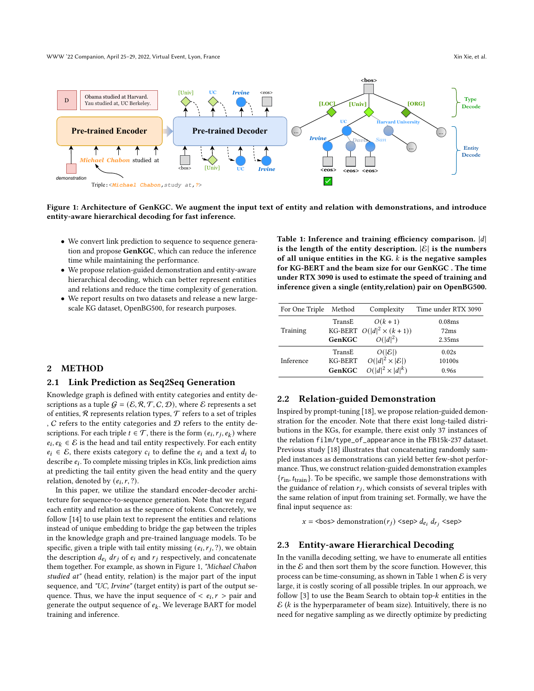WWW '22 Companion, April 25–29, 2022, Virtual Event, Lyon, France Xin Xie, et al. (2014) WWW '22 Companion, April 25–29, 2022, Virtual Event, Lyon, France Xin Xie, et al.

<span id="page-1-0"></span>

Figure 1: Architecture of GenKGC. We augment the input text of entity and relation with demonstrations, and introduce entity-aware hierarchical decoding for fast inference.

- We convert link prediction to sequence to sequence generation and propose GenKGC, which can reduce the inference time while maintaining the performance.
- We propose relation-guided demonstration and entity-aware hierarchical decoding, which can better represent entities and relations and reduce the time complexity of generation.
- We report results on two datasets and release a new largescale KG dataset, OpenBG500, for research purposes.

<span id="page-1-1"></span>Table 1: Inference and training efficiency comparison.  $|d|$ is the length of the entity description.  $|\mathcal{E}|$  is the numbers of all unique entities in the KG.  $k$  is the negative samples for KG-BERT and the beam size for our GenKGC . The time under RTX 3090 is used to estimate the speed of training and inference given a single (entity,relation) pair on OpenBG500.

| For One Triple | Method  | Complexity                      | Time under RTX 3090 |  |
|----------------|---------|---------------------------------|---------------------|--|
|                | TransE  | $O(k+1)$                        | 0.08ms              |  |
| Training       |         | KG-BERT $O( d ^2 \times (k+1))$ | 72ms                |  |
|                | GenKGC  | $O( d ^2)$                      | 2.35ms              |  |
|                | TransE  | $O( \mathcal{E} )$              | 0.02s               |  |
| Inference      | KG-BERT | $O( d ^2 \times  \mathcal{E} )$ | 10100s              |  |
|                | GenKGC  | $O( d ^2 \times  d ^k)$         | 0.96s               |  |

## 2 METHOD

# 2.1 Link Prediction as Seq2Seq Generation

Knowledge graph is defined with entity categories and entity descriptions as a tuple  $G = (\mathcal{E}, \mathcal{R}, \mathcal{T}, \mathcal{C}, \mathcal{D})$ , where  $\mathcal E$  represents a set of entities,  $R$  represents relation types,  $T$  refers to a set of triples ,  $C$  refers to the entity categories and  $D$  refers to the entity descriptions. For each triple  $t \in \mathcal{T}$ , there is the form  $(e_i, r_j, e_k)$  where  $e_i, e_k \in \mathcal{E}$  is the head and tail entity respectively. For each entity  $e_i \in \mathcal{E}$ , there exists category  $c_i$  to define the  $e_i$  and a text  $d_i$  to describe  $e_i$ . To complete missing triples in KGs, link prediction aims at predicting the tail entity given the head entity and the query relation, denoted by  $(e_i, r, ?)$ .

In this paper, we utilize the standard encoder-decoder architecture for sequence-to-sequence generation. Note that we regard each entity and relation as the sequence of tokens. Concretely, we follow [\[14\]](#page-3-4) to use plain text to represent the entities and relations instead of unique embedding to bridge the gap between the triples in the knowledge graph and pre-trained language models. To be specific, given a triple with tail entity missing  $(e_i, r_j, ?)$ , we obtain the description  $d_{e_i} dr_j$  of  $e_i$  and  $r_j$  respectively, and concatenate them together. For example, as shown in Figure [1,](#page-1-0) "Michael Chabon studied at" (head entity, relation) is the major part of the input sequence, and "UC, Irvine" (target entity) is part of the output sequence. Thus, we have the input sequence of  $\langle e_i, r \rangle$  pair and generate the output sequence of  $e_k$ . We leverage BART for model training and inference.

# 2.2 Relation-guided Demonstration

Inspired by prompt-tuning [\[18\]](#page-3-5), we propose relation-guided demonstration for the encoder. Note that there exist long-tailed distributions in the KGs, for example, there exist only 37 instances of the relation film/type\_of\_appearance in the FB15k-237 dataset. Previous study [\[18\]](#page-3-5) illustrates that concatenating randomly sampled instances as demonstrations can yield better few-shot performance. Thus, we construct relation-guided demonstration examples  ${r_{\text{in}, t_{\text{train}}}}$ . To be specific, we sample those demonstrations with the guidance of relation  $r_j$ , which consists of several triples with the same relation of input from training set. Formally, we have the final input sequence as:

 $x =$  <br/> <br/> <br/> <br/> <br/>demonstration( $r_j$ ) <sep>  $d_{e_i}$  d $r_i$  <sep>

#### 2.3 Entity-aware Hierarchical Decoding

In the vanilla decoding setting, we have to enumerate all entities in the  $\mathcal E$  and then sort them by the score function. However, this process can be time-consuming, as shown in Table [1](#page-1-1) when  $\mathcal E$  is very large, it is costly scoring of all possible triples. In our approach, we follow [\[3\]](#page-3-6) to use the Beam Search to obtain top- $k$  entities in the  $\mathcal E$  ( $k$  is the hyperparameter of beam size). Intuitively, there is no need for negative sampling as we directly optimize by predicting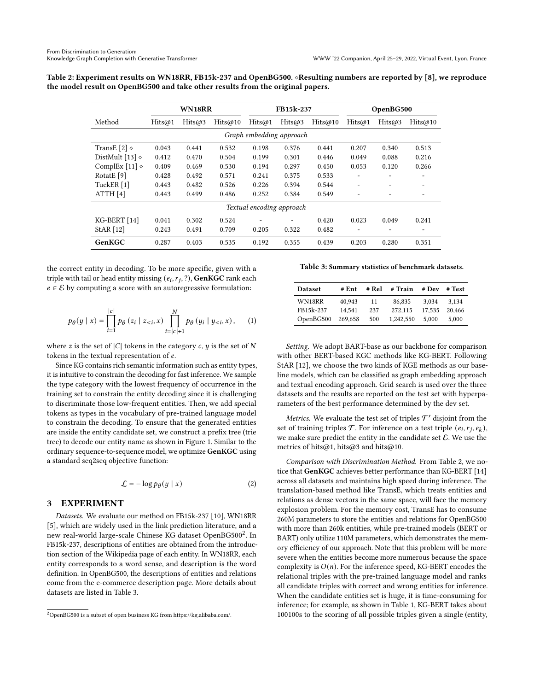<span id="page-2-2"></span>Table 2: Experiment results on WN18RR, FB15k-237 and OpenBG500. ◇Resulting numbers are reported by [\[8\]](#page-3-7), we reproduce the model result on OpenBG500 and take other results from the original papers.

|                           | WN18RR |        |         | FB15k-237 |        | OpenBG500 |        |        |         |
|---------------------------|--------|--------|---------|-----------|--------|-----------|--------|--------|---------|
| Method                    | Hits@1 | Hits@3 | Hits@10 | Hits@1    | Hits@3 | Hits@10   | Hits@1 | Hits@3 | Hits@10 |
| Graph embedding approach  |        |        |         |           |        |           |        |        |         |
| TransE [2] $\diamond$     | 0.043  | 0.441  | 0.532   | 0.198     | 0.376  | 0.441     | 0.207  | 0.340  | 0.513   |
| DistMult [13] $\diamond$  | 0.412  | 0.470  | 0.504   | 0.199     | 0.301  | 0.446     | 0.049  | 0.088  | 0.216   |
| ComplEx [11] $\diamond$   | 0.409  | 0.469  | 0.530   | 0.194     | 0.297  | 0.450     | 0.053  | 0.120  | 0.266   |
| RotatE <sup>[9]</sup>     | 0.428  | 0.492  | 0.571   | 0.241     | 0.375  | 0.533     |        |        |         |
| TuckER [1]                | 0.443  | 0.482  | 0.526   | 0.226     | 0.394  | 0.544     | ٠      |        | -       |
| ATTH[4]                   | 0.443  | 0.499  | 0.486   | 0.252     | 0.384  | 0.549     |        |        |         |
| Textual encoding approach |        |        |         |           |        |           |        |        |         |
| KG-BERT [14]              | 0.041  | 0.302  | 0.524   |           |        | 0.420     | 0.023  | 0.049  | 0.241   |
| StAR $[12]$               | 0.243  | 0.491  | 0.709   | 0.205     | 0.322  | 0.482     |        |        |         |
| GenKGC                    | 0.287  | 0.403  | 0.535   | 0.192     | 0.355  | 0.439     | 0.203  | 0.280  | 0.351   |

the correct entity in decoding. To be more specific, given with a triple with tail or head entity missing  $(e_i, r_j, ?)$ , GenKGC rank each  $e \in \mathcal{E}$  by computing a score with an autoregressive formulation:

$$
p_{\theta}(y \mid x) = \prod_{i=1}^{|c|} p_{\theta}(z_i \mid z_{
$$

where z is the set of  $|C|$  tokens in the category c, y is the set of N tokens in the textual representation of  $e$ .

Since KG contains rich semantic information such as entity types, it is intuitive to constrain the decoding for fast inference. We sample the type category with the lowest frequency of occurrence in the training set to constrain the entity decoding since it is challenging to discriminate those low-frequent entities. Then, we add special tokens as types in the vocabulary of pre-trained language model to constrain the decoding. To ensure that the generated entities are inside the entity candidate set, we construct a prefix tree (trie tree) to decode our entity name as shown in Figure [1.](#page-1-0) Similar to the ordinary sequence-to-sequence model, we optimize GenKGC using a standard seq2seq objective function:

$$
\mathcal{L} = -\log p_{\theta}(y \mid x) \tag{2}
$$

## 3 EXPERIMENT

Datasets. We evaluate our method on FB15k-237 [\[10\]](#page-3-12), WN18RR [\[5\]](#page-3-13), which are widely used in the link prediction literature, and a new real-world large-scale Chinese KG dataset OpenBG500<sup>[2](#page-2-0)</sup>. In FB15k-237, descriptions of entities are obtained from the introduction section of the Wikipedia page of each entity. In WN18RR, each entity corresponds to a word sense, and description is the word definition. In OpenBG500, the descriptions of entities and relations come from the e-commerce description page. More details about datasets are listed in Table [3.](#page-2-1)

<span id="page-2-1"></span>Table 3: Summary statistics of benchmark datasets.

| <b>Dataset</b> | # Ent   | # Rel | # Train   | # Dev  | # Test |
|----------------|---------|-------|-----------|--------|--------|
| WN18RR         | 40.943  | 11    | 86.835    | 3.034  | 3.134  |
| FB15k-237      | 14.541  | 237   | 272.115   | 17.535 | 20,466 |
| OpenBG500      | 269,658 | 500   | 1.242.550 | 5.000  | 5.000  |

Setting. We adopt BART-base as our backbone for comparison with other BERT-based KGC methods like KG-BERT. Following StAR [\[12\]](#page-3-11), we choose the two kinds of KGE methods as our baseline models, which can be classified as graph embedding approach and textual encoding approach. Grid search is used over the three datasets and the results are reported on the test set with hyperparameters of the best performance determined by the dev set.

Metrics. We evaluate the test set of triples  $\mathcal{T}'$  disjoint from the set of training triples  $\mathcal T$ . For inference on a test triple  $(e_i, r_j, e_k)$ , we make sure predict the entity in the candidate set  $\mathcal E$ . We use the metrics of hits@1, hits@3 and hits@10.

Comparison with Discrimination Method. From Table [2,](#page-2-2) we notice that GenKGC achieves better performance than KG-BERT [\[14\]](#page-3-4) across all datasets and maintains high speed during inference. The translation-based method like TransE, which treats entities and relations as dense vectors in the same space, will face the memory explosion problem. For the memory cost, TransE has to consume 260M parameters to store the entities and relations for OpenBG500 with more than 260k entities, while pre-trained models (BERT or BART) only utilize 110M parameters, which demonstrates the memory efficiency of our approach. Note that this problem will be more severe when the entities become more numerous because the space complexity is  $O(n)$ . For the inference speed, KG-BERT encodes the relational triples with the pre-trained language model and ranks all candidate triples with correct and wrong entities for inference. When the candidate entities set is huge, it is time-consuming for inference; for example, as shown in Table [1,](#page-1-1) KG-BERT takes about 100100s to the scoring of all possible triples given a single (entity,

<span id="page-2-0"></span><sup>2</sup>OpenBG500 is a subset of open business KG from [https://kg.alibaba.com/.](https://kg.alibaba.com/)